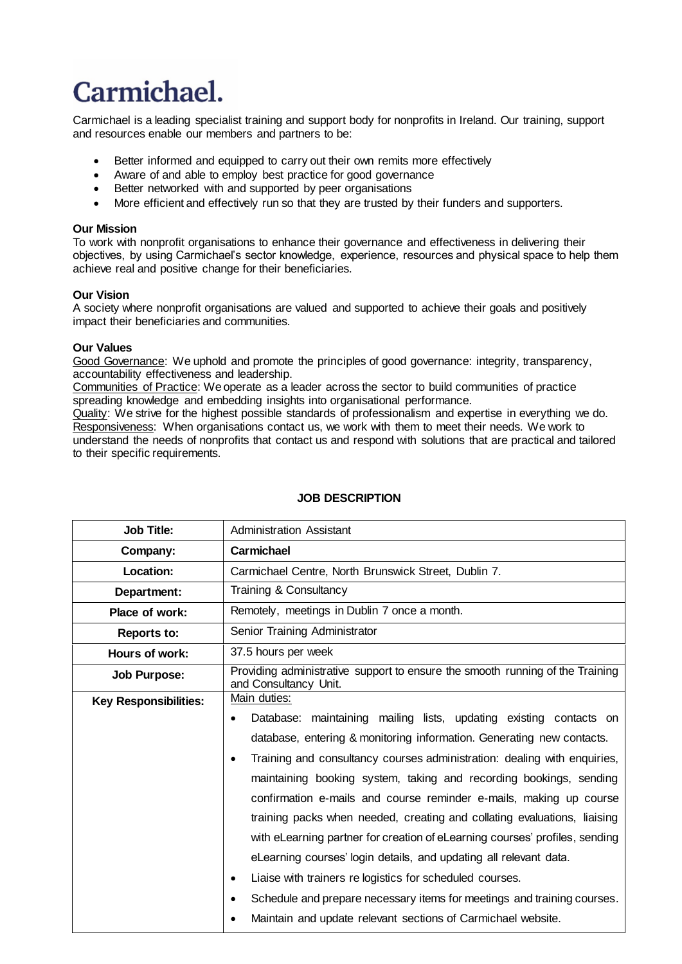# Carmichael.

Carmichael is a leading specialist training and support body for nonprofits in Ireland. Our training, support and resources enable our members and partners to be:

- Better informed and equipped to carry out their own remits more effectively
- Aware of and able to employ best practice for good governance
- Better networked with and supported by peer organisations
- More efficient and effectively run so that they are trusted by their funders and supporters.

### **Our Mission**

To work with nonprofit organisations to enhance their governance and effectiveness in delivering their objectives, by using Carmichael's sector knowledge, experience, resources and physical space to help them achieve real and positive change for their beneficiaries.

# **Our Vision**

A society where nonprofit organisations are valued and supported to achieve their goals and positively impact their beneficiaries and communities.

#### **Our Values**

Good Governance: We uphold and promote the principles of good governance: integrity, transparency, accountability effectiveness and leadership.

Communities of Practice: We operate as a leader across the sector to build communities of practice spreading knowledge and embedding insights into organisational performance.

Quality: We strive for the highest possible standards of professionalism and expertise in everything we do. Responsiveness: When organisations contact us, we work with them to meet their needs. We work to understand the needs of nonprofits that contact us and respond with solutions that are practical and tailored to their specific requirements.

| <b>Job Title:</b>            | <b>Administration Assistant</b>                                                                                                                                                                                                                                                                                                                                                                                                                                                                                                                                                                                                                                                                                                                                                                                                                      |
|------------------------------|------------------------------------------------------------------------------------------------------------------------------------------------------------------------------------------------------------------------------------------------------------------------------------------------------------------------------------------------------------------------------------------------------------------------------------------------------------------------------------------------------------------------------------------------------------------------------------------------------------------------------------------------------------------------------------------------------------------------------------------------------------------------------------------------------------------------------------------------------|
| Company:                     | Carmichael                                                                                                                                                                                                                                                                                                                                                                                                                                                                                                                                                                                                                                                                                                                                                                                                                                           |
| Location:                    | Carmichael Centre, North Brunswick Street, Dublin 7.                                                                                                                                                                                                                                                                                                                                                                                                                                                                                                                                                                                                                                                                                                                                                                                                 |
| Department:                  | Training & Consultancy                                                                                                                                                                                                                                                                                                                                                                                                                                                                                                                                                                                                                                                                                                                                                                                                                               |
| Place of work:               | Remotely, meetings in Dublin 7 once a month.                                                                                                                                                                                                                                                                                                                                                                                                                                                                                                                                                                                                                                                                                                                                                                                                         |
| <b>Reports to:</b>           | Senior Training Administrator                                                                                                                                                                                                                                                                                                                                                                                                                                                                                                                                                                                                                                                                                                                                                                                                                        |
| Hours of work:               | 37.5 hours per week                                                                                                                                                                                                                                                                                                                                                                                                                                                                                                                                                                                                                                                                                                                                                                                                                                  |
| Job Purpose:                 | Providing administrative support to ensure the smooth running of the Training<br>and Consultancy Unit.                                                                                                                                                                                                                                                                                                                                                                                                                                                                                                                                                                                                                                                                                                                                               |
| <b>Key Responsibilities:</b> | Main duties:<br>Database: maintaining mailing lists, updating existing contacts on<br>database, entering & monitoring information. Generating new contacts.<br>Training and consultancy courses administration: dealing with enquiries,<br>$\bullet$<br>maintaining booking system, taking and recording bookings, sending<br>confirmation e-mails and course reminder e-mails, making up course<br>training packs when needed, creating and collating evaluations, liaising<br>with eLearning partner for creation of eLearning courses' profiles, sending<br>eLearning courses' login details, and updating all relevant data.<br>Liaise with trainers re logistics for scheduled courses.<br>$\bullet$<br>Schedule and prepare necessary items for meetings and training courses.<br>Maintain and update relevant sections of Carmichael website. |

## **JOB DESCRIPTION**